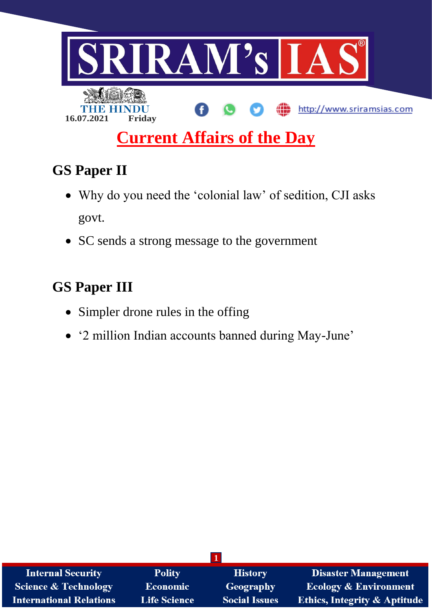

# **Current Affairs of the Day**

## **GS Paper II**

- Why do you need the 'colonial law' of sedition, CJI asks govt.
- SC sends a strong message to the government

# **GS Paper III**

- Simpler drone rules in the offing
- '2 million Indian accounts banned during May-June'

| <b>Internal Security</b>        | <b>Polity</b>       | <b>History</b>       | <b>Disaster Management</b>              |
|---------------------------------|---------------------|----------------------|-----------------------------------------|
| <b>Science &amp; Technology</b> | <b>Economic</b>     | <b>Geography</b>     | <b>Ecology &amp; Environment</b>        |
| <b>International Relations</b>  | <b>Life Science</b> | <b>Social Issues</b> | <b>Ethics, Integrity &amp; Aptitude</b> |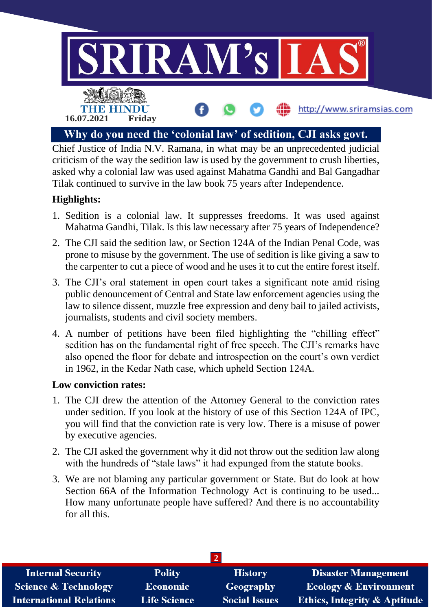

Chief Justice of India N.V. Ramana, in what may be an unprecedented judicial criticism of the way the sedition law is used by the government to crush liberties, asked why a colonial law was used against Mahatma Gandhi and Bal Gangadhar Tilak continued to survive in the law book 75 years after Independence.

### **Highlights:**

- 1. Sedition is a colonial law. It suppresses freedoms. It was used against Mahatma Gandhi, Tilak. Is this law necessary after 75 years of Independence?
- 2. The CJI said the sedition law, or Section 124A of the Indian Penal Code, was prone to misuse by the government. The use of sedition is like giving a saw to the carpenter to cut a piece of wood and he uses it to cut the entire forest itself.
- 3. The CJI's oral statement in open court takes a significant note amid rising public denouncement of Central and State law enforcement agencies using the law to silence dissent, muzzle free expression and deny bail to jailed activists, journalists, students and civil society members.
- 4. A number of petitions have been filed highlighting the "chilling effect" sedition has on the fundamental right of free speech. The CJI's remarks have also opened the floor for debate and introspection on the court's own verdict in 1962, in the Kedar Nath case, which upheld Section 124A.

#### **Low conviction rates:**

- 1. The CJI drew the attention of the Attorney General to the conviction rates under sedition. If you look at the history of use of this Section 124A of IPC, you will find that the conviction rate is very low. There is a misuse of power by executive agencies.
- 2. The CJI asked the government why it did not throw out the sedition law along with the hundreds of "stale laws" it had expunged from the statute books.
- 3. We are not blaming any particular government or State. But do look at how Section 66A of the Information Technology Act is continuing to be used... How many unfortunate people have suffered? And there is no accountability for all this.

| <b>Internal Security</b>        | <b>Polity</b>       | <b>History</b>       | <b>Disaster Management</b>              |
|---------------------------------|---------------------|----------------------|-----------------------------------------|
| <b>Science &amp; Technology</b> | <b>Economic</b>     | Geography            | <b>Ecology &amp; Environment</b>        |
| <b>International Relations</b>  | <b>Life Science</b> | <b>Social Issues</b> | <b>Ethics, Integrity &amp; Aptitude</b> |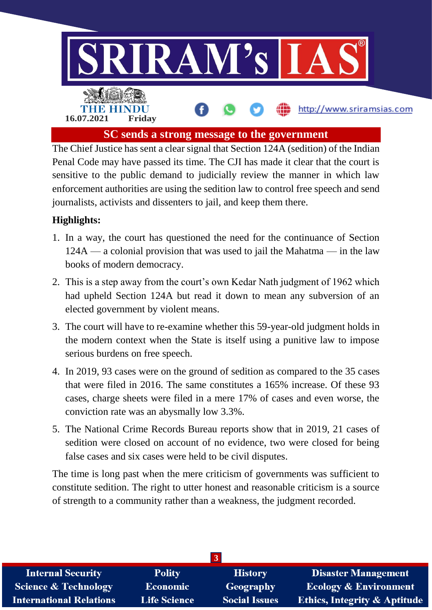

**SC sends a strong message to the government**

The Chief Justice has sent a clear signal that Section 124A (sedition) of the Indian Penal Code may have passed its time. The CJI has made it clear that the court is sensitive to the public demand to judicially review the manner in which law enforcement authorities are using the sedition law to control free speech and send journalists, activists and dissenters to jail, and keep them there.

### **Highlights:**

- 1. In a way, the court has questioned the need for the continuance of Section 124A — a colonial provision that was used to jail the Mahatma — in the law books of modern democracy.
- 2. This is a step away from the court's own Kedar Nath judgment of 1962 which had upheld Section 124A but read it down to mean any subversion of an elected government by violent means.
- 3. The court will have to re-examine whether this 59-year-old judgment holds in the modern context when the State is itself using a punitive law to impose serious burdens on free speech.
- 4. In 2019, 93 cases were on the ground of sedition as compared to the 35 cases that were filed in 2016. The same constitutes a 165% increase. Of these 93 cases, charge sheets were filed in a mere 17% of cases and even worse, the conviction rate was an abysmally low 3.3%.
- 5. The National Crime Records Bureau reports show that in 2019, 21 cases of sedition were closed on account of no evidence, two were closed for being false cases and six cases were held to be civil disputes.

The time is long past when the mere criticism of governments was sufficient to constitute sedition. The right to utter honest and reasonable criticism is a source of strength to a community rather than a weakness, the judgment recorded.

| <b>Internal Security</b>        | <b>Polity</b>       | <b>History</b>       | <b>Disaster Management</b>              |
|---------------------------------|---------------------|----------------------|-----------------------------------------|
| <b>Science &amp; Technology</b> | <b>Economic</b>     | Geography            | <b>Ecology &amp; Environment</b>        |
| <b>International Relations</b>  | <b>Life Science</b> | <b>Social Issues</b> | <b>Ethics, Integrity &amp; Aptitude</b> |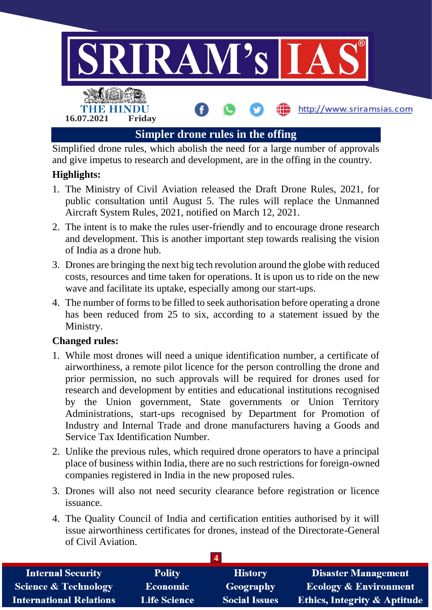

Simplified drone rules, which abolish the need for a large number of approvals and give impetus to research and development, are in the offing in the country.

### **Highlights:**

- 1. The Ministry of Civil Aviation released the Draft Drone Rules, 2021, for public consultation until August 5. The rules will replace the Unmanned Aircraft System Rules, 2021, notified on March 12, 2021.
- 2. The intent is to make the rules user-friendly and to encourage drone research and development. This is another important step towards realising the vision of India as a drone hub.
- 3. Drones are bringing the next big tech revolution around the globe with reduced costs, resources and time taken for operations. It is upon us to ride on the new wave and facilitate its uptake, especially among our start-ups.
- 4. The number of forms to be filled to seek authorisation before operating a drone has been reduced from 25 to six, according to a statement issued by the Ministry.

#### **Changed rules:**

- 1. While most drones will need a unique identification number, a certificate of airworthiness, a remote pilot licence for the person controlling the drone and prior permission, no such approvals will be required for drones used for research and development by entities and educational institutions recognised by the Union government, State governments or Union Territory Administrations, start-ups recognised by Department for Promotion of Industry and Internal Trade and drone manufacturers having a Goods and Service Tax Identification Number.
- 2. Unlike the previous rules, which required drone operators to have a principal place of business within India, there are no such restrictions for foreign-owned companies registered in India in the new proposed rules.
- 3. Drones will also not need security clearance before registration or licence issuance.
- 4. The Quality Council of India and certification entities authorised by it will issue airworthiness certificates for drones, instead of the Directorate-General of Civil Aviation.

| <b>Internal Security</b>        | <b>Polity</b>       | <b>History</b>       | <b>Disaster Management</b>              |
|---------------------------------|---------------------|----------------------|-----------------------------------------|
| <b>Science &amp; Technology</b> | <b>Economic</b>     | Geography            | <b>Ecology &amp; Environment</b>        |
| <b>International Relations</b>  | <b>Life Science</b> | <b>Social Issues</b> | <b>Ethics, Integrity &amp; Aptitude</b> |